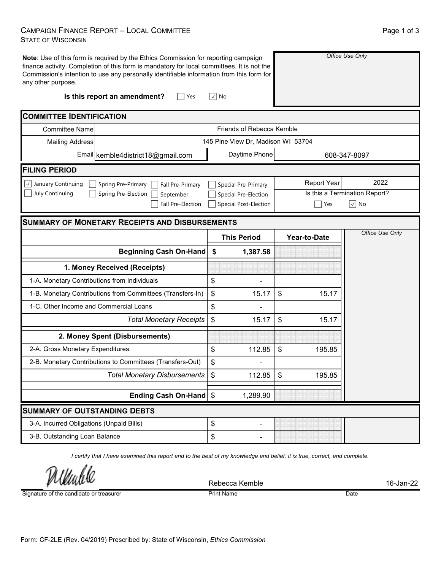## CAMPAIGN FINANCE REPORT – LOCAL COMMITTEE STATE OF WISCONSIN

| <b>STATE OF WISCONSIN</b>                                         |                                                                                                                                                                                                                                                                              |                                                    |                                                     |      |  |  |
|-------------------------------------------------------------------|------------------------------------------------------------------------------------------------------------------------------------------------------------------------------------------------------------------------------------------------------------------------------|----------------------------------------------------|-----------------------------------------------------|------|--|--|
| any other purpose.                                                | Note: Use of this form is required by the Ethics Commission for reporting campaign<br>finance activity. Completion of this form is mandatory for local committees. It is not the<br>Commission's intention to use any personally identifiable information from this form for |                                                    | Office Use Only                                     |      |  |  |
|                                                                   | Is this report an amendment?<br>Yes                                                                                                                                                                                                                                          | $\vee$ No                                          |                                                     |      |  |  |
| <b>COMMITTEE IDENTIFICATION</b>                                   |                                                                                                                                                                                                                                                                              |                                                    |                                                     |      |  |  |
| <b>Committee Name</b>                                             | Friends of Rebecca Kemble                                                                                                                                                                                                                                                    |                                                    |                                                     |      |  |  |
| Mailing Address                                                   |                                                                                                                                                                                                                                                                              | 145 Pine View Dr, Madison WI 53704                 |                                                     |      |  |  |
|                                                                   | Email kemble4district18@gmail.com                                                                                                                                                                                                                                            | Daytime Phone                                      | 608-347-8097                                        |      |  |  |
| <b>FILING PERIOD</b>                                              |                                                                                                                                                                                                                                                                              |                                                    |                                                     |      |  |  |
| $\lfloor \sqrt{\ } \rfloor$ January Continuing<br>July Continuing | Spring Pre-Primary<br>Fall Pre-Primary<br>Spring Pre-Election September                                                                                                                                                                                                      | Special Pre-Primary<br><b>Special Pre-Election</b> | <b>Report Year</b><br>Is this a Termination Report? | 2022 |  |  |

□ Special Post-Election Yes √ No

## **SUMMARY OF MONETARY RECEIPTS AND DISBURSEMENTS**

Fall Pre-Election

|                                                                  |    | <b>This Period</b> | Year-to-Date |
|------------------------------------------------------------------|----|--------------------|--------------|
| <b>Beginning Cash On-Hand</b>                                    | \$ | 1,387.58           |              |
| 1. Money Received (Receipts)                                     |    |                    |              |
| 1-A. Monetary Contributions from Individuals                     | \$ |                    |              |
| 1-B. Monetary Contributions from Committees (Transfers-In)<br>\$ |    | 15.17              | \$<br>15.17  |
| 1-C. Other Income and Commercial Loans                           |    |                    |              |
| <b>Total Monetary Receipts</b>                                   | \$ | 15.17              | \$<br>15.17  |
| 2. Money Spent (Disbursements)                                   |    |                    |              |
| 2-A. Gross Monetary Expenditures                                 | \$ | 112.85             | \$<br>195.85 |
| 2-B. Monetary Contributions to Committees (Transfers-Out)        | \$ |                    |              |
| <b>Total Monetary Disbursements</b>                              | \$ | 112.85             | \$<br>195.85 |
| Ending Cash On-Hand \$                                           |    | 1,289.90           |              |
| <b>SUMMARY OF OUTSTANDING DEBTS</b>                              |    |                    |              |
| 3-A. Incurred Obligations (Unpaid Bills)                         | \$ |                    |              |
| 3-B. Outstanding Loan Balance                                    | \$ |                    |              |

*I certify that I have examined this report and to the best of my knowledge and belief, it is true, correct, and complete.*

Rebecca Kemble 16-Jan-22

Signature of the candidate or treasurer

Print Name Date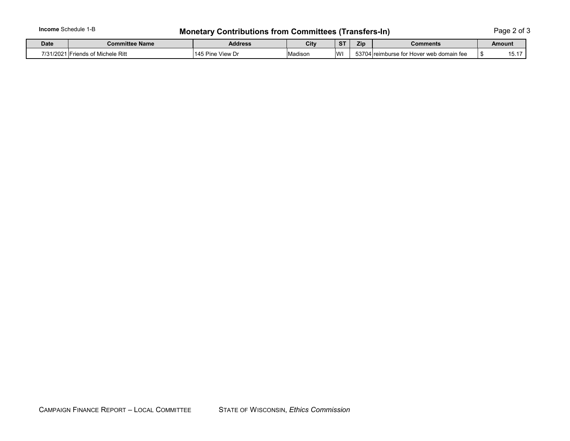## **Income** Schedule 1-B **Monetary Contributions from Committees (Transfers-In)** Page 2 of 3

| <b>Date</b> | <b>Committee Name</b>                      | <b>Address</b>         | City    | $\sim$<br>э      | Zip<br>Comments |                                             | Amount |     |
|-------------|--------------------------------------------|------------------------|---------|------------------|-----------------|---------------------------------------------|--------|-----|
| 7/31/2021   | -<br><br>Michele Ritt<br><b>Friends u.</b> | 145P<br>View L<br>Dınc | Madison | <b>181</b><br>۷V | 53704           | reimburse<br>domain fee ›<br>Hover web<br>. |        | ιJ. |